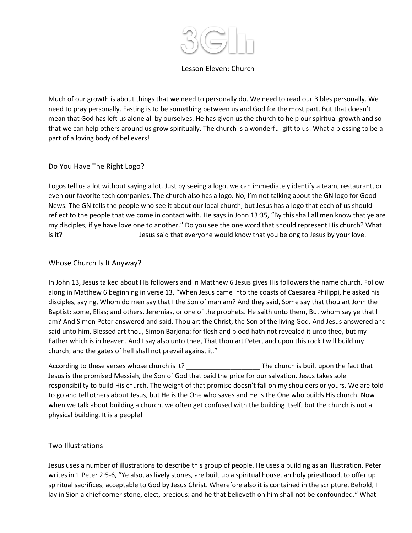

### Lesson Eleven: Church

Much of our growth is about things that we need to personally do. We need to read our Bibles personally. We need to pray personally. Fasting is to be something between us and God for the most part. But that doesn't mean that God has left us alone all by ourselves. He has given us the church to help our spiritual growth and so that we can help others around us grow spiritually. The church is a wonderful gift to us! What a blessing to be a part of a loving body of believers!

# Do You Have The Right Logo?

Logos tell us a lot without saying a lot. Just by seeing a logo, we can immediately identify a team, restaurant, or even our favorite tech companies. The church also has a logo. No, I'm not talking about the GN logo for Good News. The GN tells the people who see it about our local church, but Jesus has a logo that each of us should reflect to the people that we come in contact with. He says in John 13:35, "By this shall all men know that ye are my disciples, if ye have love one to another." Do you see the one word that should represent His church? What is it? \_\_\_\_\_\_\_\_\_\_\_\_\_\_\_\_\_\_\_\_ Jesus said that everyone would know that you belong to Jesus by your love.

### Whose Church Is It Anyway?

In John 13, Jesus talked about His followers and in Matthew 6 Jesus gives His followers the name church. Follow along in Matthew 6 beginning in verse 13, "When Jesus came into the coasts of Caesarea Philippi, he asked his disciples, saying, Whom do men say that I the Son of man am? And they said, Some say that thou art John the Baptist: some, Elias; and others, Jeremias, or one of the prophets. He saith unto them, But whom say ye that I am? And Simon Peter answered and said, Thou art the Christ, the Son of the living God. And Jesus answered and said unto him, Blessed art thou, Simon Barjona: for flesh and blood hath not revealed it unto thee, but my Father which is in heaven. And I say also unto thee, That thou art Peter, and upon this rock I will build my church; and the gates of hell shall not prevail against it."

According to these verses whose church is it? \_\_\_\_\_\_\_\_\_\_\_\_\_\_\_\_\_\_\_\_\_\_\_\_\_\_\_The church is built upon the fact that Jesus is the promised Messiah, the Son of God that paid the price for our salvation. Jesus takes sole responsibility to build His church. The weight of that promise doesn't fall on my shoulders or yours. We are told to go and tell others about Jesus, but He is the One who saves and He is the One who builds His church. Now when we talk about building a church, we often get confused with the building itself, but the church is not a physical building. It is a people!

# Two Illustrations

Jesus uses a number of illustrations to describe this group of people. He uses a building as an illustration. Peter writes in 1 Peter 2:5-6, "Ye also, as lively stones, are built up a spiritual house, an holy priesthood, to offer up spiritual sacrifices, acceptable to God by Jesus Christ. Wherefore also it is contained in the scripture, Behold, I lay in Sion a chief corner stone, elect, precious: and he that believeth on him shall not be confounded." What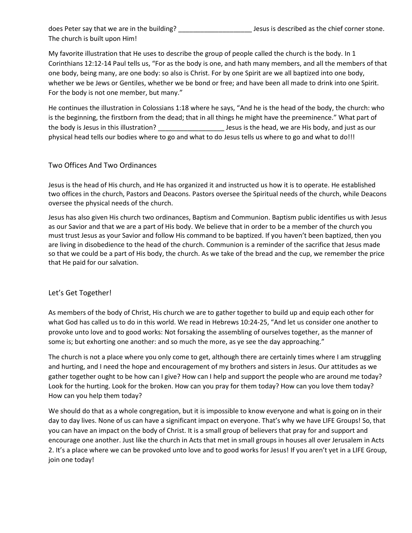does Peter say that we are in the building? \_\_\_\_\_\_\_\_\_\_\_\_\_\_\_\_\_\_\_\_ Jesus is described as the chief corner stone. The church is built upon Him!

My favorite illustration that He uses to describe the group of people called the church is the body. In 1 Corinthians 12:12-14 Paul tells us, "For as the body is one, and hath many members, and all the members of that one body, being many, are one body: so also is Christ. For by one Spirit are we all baptized into one body, whether we be Jews or Gentiles, whether we be bond or free; and have been all made to drink into one Spirit. For the body is not one member, but many."

He continues the illustration in Colossians 1:18 where he says, "And he is the head of the body, the church: who is the beginning, the firstborn from the dead; that in all things he might have the preeminence." What part of the body is Jesus in this illustration? \_\_\_\_\_\_\_\_\_\_\_\_\_\_\_\_\_\_ Jesus is the head, we are His body, and just as our physical head tells our bodies where to go and what to do Jesus tells us where to go and what to do!!!

# Two Offices And Two Ordinances

Jesus is the head of His church, and He has organized it and instructed us how it is to operate. He established two offices in the church, Pastors and Deacons. Pastors oversee the Spiritual needs of the church, while Deacons oversee the physical needs of the church.

Jesus has also given His church two ordinances, Baptism and Communion. Baptism public identifies us with Jesus as our Savior and that we are a part of His body. We believe that in order to be a member of the church you must trust Jesus as your Savior and follow His command to be baptized. If you haven't been baptized, then you are living in disobedience to the head of the church. Communion is a reminder of the sacrifice that Jesus made so that we could be a part of His body, the church. As we take of the bread and the cup, we remember the price that He paid for our salvation.

# Let's Get Together!

As members of the body of Christ, His church we are to gather together to build up and equip each other for what God has called us to do in this world. We read in Hebrews 10:24-25, "And let us consider one another to provoke unto love and to good works: Not forsaking the assembling of ourselves together, as the manner of some is; but exhorting one another: and so much the more, as ye see the day approaching."

The church is not a place where you only come to get, although there are certainly times where I am struggling and hurting, and I need the hope and encouragement of my brothers and sisters in Jesus. Our attitudes as we gather together ought to be how can I give? How can I help and support the people who are around me today? Look for the hurting. Look for the broken. How can you pray for them today? How can you love them today? How can you help them today?

We should do that as a whole congregation, but it is impossible to know everyone and what is going on in their day to day lives. None of us can have a significant impact on everyone. That's why we have LIFE Groups! So, that you can have an impact on the body of Christ. It is a small group of believers that pray for and support and encourage one another. Just like the church in Acts that met in small groups in houses all over Jerusalem in Acts 2. It's a place where we can be provoked unto love and to good works for Jesus! If you aren't yet in a LIFE Group, join one today!